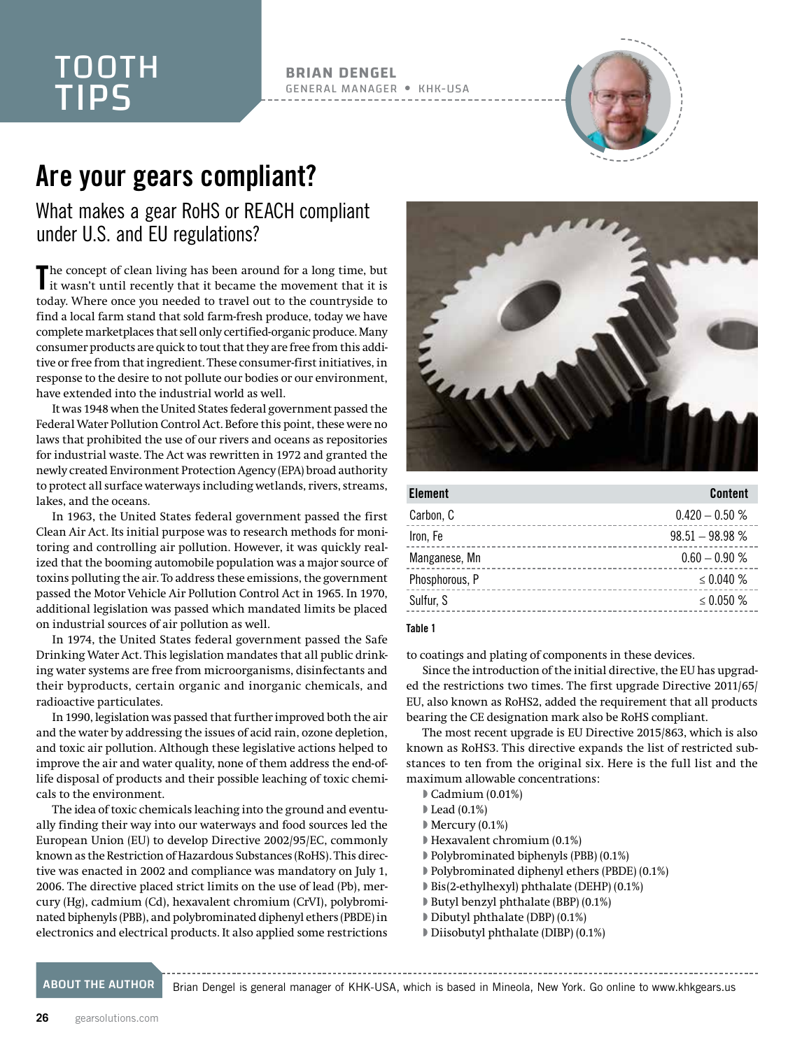### TOOTH TIPS

**BRIAN DENGEL** GENERAL MANAGER KHK-USA



### Are your gears compliant?

What makes a gear RoHS or REACH compliant under U.S. and EU regulations?

The concept of clean living has been around for a long time, but<br>it wasn't until recently that it became the movement that it is it wasn't until recently that it became the movement that it is today. Where once you needed to travel out to the countryside to find a local farm stand that sold farm-fresh produce, today we have complete marketplaces that sell only certified-organic produce. Many consumer products are quick to tout that they are free from this additive or free from that ingredient. These consumer-first initiatives, in response to the desire to not pollute our bodies or our environment, have extended into the industrial world as well.

It was 1948 when the United States federal government passed the Federal Water Pollution Control Act. Before this point, these were no laws that prohibited the use of our rivers and oceans as repositories for industrial waste. The Act was rewritten in 1972 and granted the newly created Environment Protection Agency (EPA) broad authority to protect all surface waterways including wetlands, rivers, streams, lakes, and the oceans.

In 1963, the United States federal government passed the first Clean Air Act. Its initial purpose was to research methods for monitoring and controlling air pollution. However, it was quickly realized that the booming automobile population was a major source of toxins polluting the air. To address these emissions, the government passed the Motor Vehicle Air Pollution Control Act in 1965. In 1970, additional legislation was passed which mandated limits be placed on industrial sources of air pollution as well.

In 1974, the United States federal government passed the Safe Drinking Water Act. This legislation mandates that all public drinking water systems are free from microorganisms, disinfectants and their byproducts, certain organic and inorganic chemicals, and radioactive particulates.

In 1990, legislation was passed that further improved both the air and the water by addressing the issues of acid rain, ozone depletion, and toxic air pollution. Although these legislative actions helped to improve the air and water quality, none of them address the end-oflife disposal of products and their possible leaching of toxic chemicals to the environment.

The idea of toxic chemicals leaching into the ground and eventually finding their way into our waterways and food sources led the European Union (EU) to develop Directive 2002/95/EC, commonly known as the Restriction of Hazardous Substances (RoHS). This directive was enacted in 2002 and compliance was mandatory on July 1, 2006. The directive placed strict limits on the use of lead (Pb), mercury (Hg), cadmium (Cd), hexavalent chromium (CrVI), polybrominated biphenyls (PBB), and polybrominated diphenyl ethers (PBDE) in electronics and electrical products. It also applied some restrictions



| <b>Element</b> | <b>Content</b>    |
|----------------|-------------------|
| Carbon, C      | $0.420 - 0.50 %$  |
| Iron, Fe       | $98.51 - 98.98 %$ |
| Manganese, Mn  | $0.60 - 0.90 %$   |
| Phosphorous, P | $\leq 0.040 \%$   |
| Sulfur, S      | $\leq 0.050$ %    |

### Table 1

to coatings and plating of components in these devices.

Since the introduction of the initial directive, the EU has upgraded the restrictions two times. The first upgrade Directive 2011/65/ EU, also known as RoHS2, added the requirement that all products bearing the CE designation mark also be RoHS compliant.

The most recent upgrade is EU Directive 2015/863, which is also known as RoHS3. This directive expands the list of restricted substances to ten from the original six. Here is the full list and the maximum allowable concentrations:

- Cadmium (0.01%)
- Lead (0.1%)
- Mercury (0.1%)
- Hexavalent chromium (0.1%)
- Polybrominated biphenyls (PBB) (0.1%)
- Polybrominated diphenyl ethers (PBDE) (0.1%)
- Bis(2-ethylhexyl) phthalate (DEHP) (0.1%)
- Butyl benzyl phthalate (BBP) (0.1%)
- Dibutyl phthalate (DBP) (0.1%)
- Diisobutyl phthalate (DIBP) (0.1%)

ABOUT THE AUTHOR Brian Dengel is general manager of KHK-USA, which is based in Mineola, New York. Go online to [www.khkgears.us](http://www.khkgears.us)